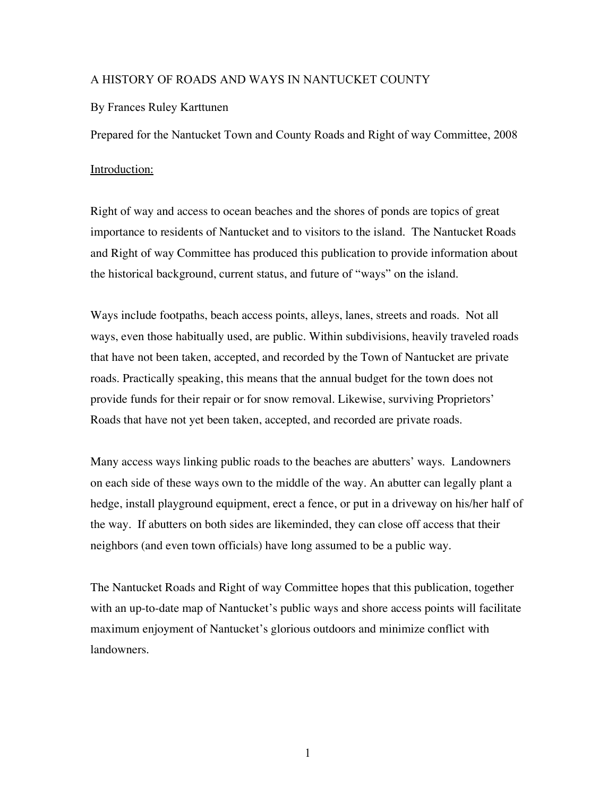# A HISTORY OF ROADS AND WAYS IN NANTUCKET COUNTY

# By Frances Ruley Karttunen

Prepared for the Nantucket Town and County Roads and Right of way Committee, 2008

#### Introduction:

Right of way and access to ocean beaches and the shores of ponds are topics of great importance to residents of Nantucket and to visitors to the island. The Nantucket Roads and Right of way Committee has produced this publication to provide information about the historical background, current status, and future of "ways" on the island.

Ways include footpaths, beach access points, alleys, lanes, streets and roads. Not all ways, even those habitually used, are public. Within subdivisions, heavily traveled roads that have not been taken, accepted, and recorded by the Town of Nantucket are private roads. Practically speaking, this means that the annual budget for the town does not provide funds for their repair or for snow removal. Likewise, surviving Proprietors' Roads that have not yet been taken, accepted, and recorded are private roads.

Many access ways linking public roads to the beaches are abutters' ways. Landowners on each side of these ways own to the middle of the way. An abutter can legally plant a hedge, install playground equipment, erect a fence, or put in a driveway on his/her half of the way. If abutters on both sides are likeminded, they can close off access that their neighbors (and even town officials) have long assumed to be a public way.

The Nantucket Roads and Right of way Committee hopes that this publication, together with an up-to-date map of Nantucket's public ways and shore access points will facilitate maximum enjoyment of Nantucket's glorious outdoors and minimize conflict with landowners.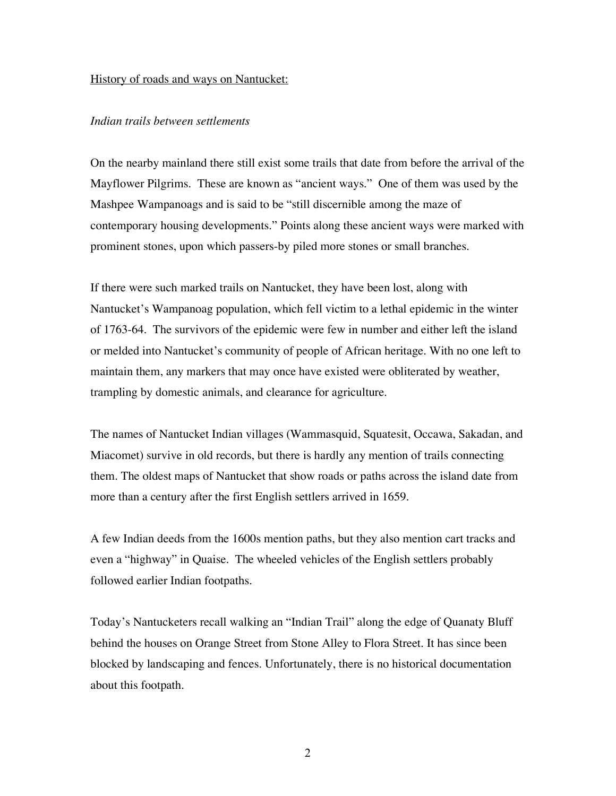#### History of roads and ways on Nantucket:

# *Indian trails between settlements*

On the nearby mainland there still exist some trails that date from before the arrival of the Mayflower Pilgrims. These are known as "ancient ways." One of them was used by the Mashpee Wampanoags and is said to be "still discernible among the maze of contemporary housing developments." Points along these ancient ways were marked with prominent stones, upon which passers-by piled more stones or small branches.

If there were such marked trails on Nantucket, they have been lost, along with Nantucket's Wampanoag population, which fell victim to a lethal epidemic in the winter of 1763-64. The survivors of the epidemic were few in number and either left the island or melded into Nantucket's community of people of African heritage. With no one left to maintain them, any markers that may once have existed were obliterated by weather, trampling by domestic animals, and clearance for agriculture.

The names of Nantucket Indian villages (Wammasquid, Squatesit, Occawa, Sakadan, and Miacomet) survive in old records, but there is hardly any mention of trails connecting them. The oldest maps of Nantucket that show roads or paths across the island date from more than a century after the first English settlers arrived in 1659.

A few Indian deeds from the 1600s mention paths, but they also mention cart tracks and even a "highway" in Quaise. The wheeled vehicles of the English settlers probably followed earlier Indian footpaths.

Today's Nantucketers recall walking an "Indian Trail" along the edge of Quanaty Bluff behind the houses on Orange Street from Stone Alley to Flora Street. It has since been blocked by landscaping and fences. Unfortunately, there is no historical documentation about this footpath.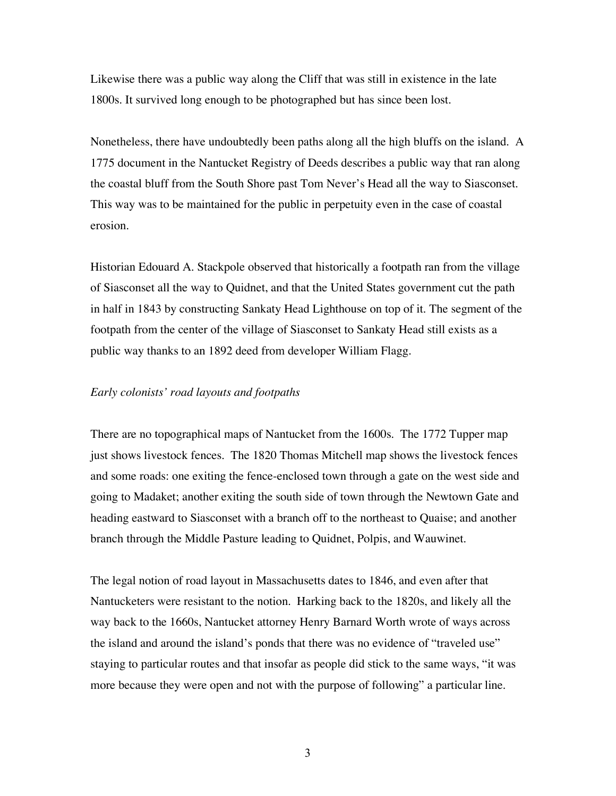Likewise there was a public way along the Cliff that was still in existence in the late 1800s. It survived long enough to be photographed but has since been lost.

Nonetheless, there have undoubtedly been paths along all the high bluffs on the island. A 1775 document in the Nantucket Registry of Deeds describes a public way that ran along the coastal bluff from the South Shore past Tom Never's Head all the way to Siasconset. This way was to be maintained for the public in perpetuity even in the case of coastal erosion.

Historian Edouard A. Stackpole observed that historically a footpath ran from the village of Siasconset all the way to Quidnet, and that the United States government cut the path in half in 1843 by constructing Sankaty Head Lighthouse on top of it. The segment of the footpath from the center of the village of Siasconset to Sankaty Head still exists as a public way thanks to an 1892 deed from developer William Flagg.

# *Early colonists' road layouts and footpaths*

There are no topographical maps of Nantucket from the 1600s. The 1772 Tupper map just shows livestock fences. The 1820 Thomas Mitchell map shows the livestock fences and some roads: one exiting the fence-enclosed town through a gate on the west side and going to Madaket; another exiting the south side of town through the Newtown Gate and heading eastward to Siasconset with a branch off to the northeast to Quaise; and another branch through the Middle Pasture leading to Quidnet, Polpis, and Wauwinet.

The legal notion of road layout in Massachusetts dates to 1846, and even after that Nantucketers were resistant to the notion. Harking back to the 1820s, and likely all the way back to the 1660s, Nantucket attorney Henry Barnard Worth wrote of ways across the island and around the island's ponds that there was no evidence of "traveled use" staying to particular routes and that insofar as people did stick to the same ways, "it was more because they were open and not with the purpose of following" a particular line.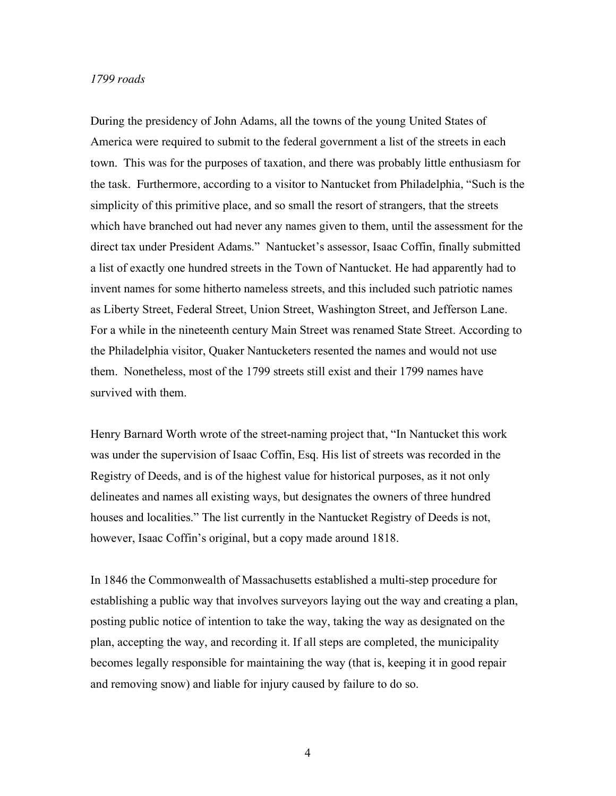# *1799 roads*

During the presidency of John Adams, all the towns of the young United States of America were required to submit to the federal government a list of the streets in each town. This was for the purposes of taxation, and there was probably little enthusiasm for the task. Furthermore, according to a visitor to Nantucket from Philadelphia, "Such is the simplicity of this primitive place, and so small the resort of strangers, that the streets which have branched out had never any names given to them, until the assessment for the direct tax under President Adams." Nantucket's assessor, Isaac Coffin, finally submitted a list of exactly one hundred streets in the Town of Nantucket. He had apparently had to invent names for some hitherto nameless streets, and this included such patriotic names as Liberty Street, Federal Street, Union Street, Washington Street, and Jefferson Lane. For a while in the nineteenth century Main Street was renamed State Street. According to the Philadelphia visitor, Quaker Nantucketers resented the names and would not use them. Nonetheless, most of the 1799 streets still exist and their 1799 names have survived with them.

Henry Barnard Worth wrote of the street-naming project that, "In Nantucket this work was under the supervision of Isaac Coffin, Esq. His list of streets was recorded in the Registry of Deeds, and is of the highest value for historical purposes, as it not only delineates and names all existing ways, but designates the owners of three hundred houses and localities." The list currently in the Nantucket Registry of Deeds is not, however, Isaac Coffin's original, but a copy made around 1818.

In 1846 the Commonwealth of Massachusetts established a multi-step procedure for establishing a public way that involves surveyors laying out the way and creating a plan, posting public notice of intention to take the way, taking the way as designated on the plan, accepting the way, and recording it. If all steps are completed, the municipality becomes legally responsible for maintaining the way (that is, keeping it in good repair and removing snow) and liable for injury caused by failure to do so.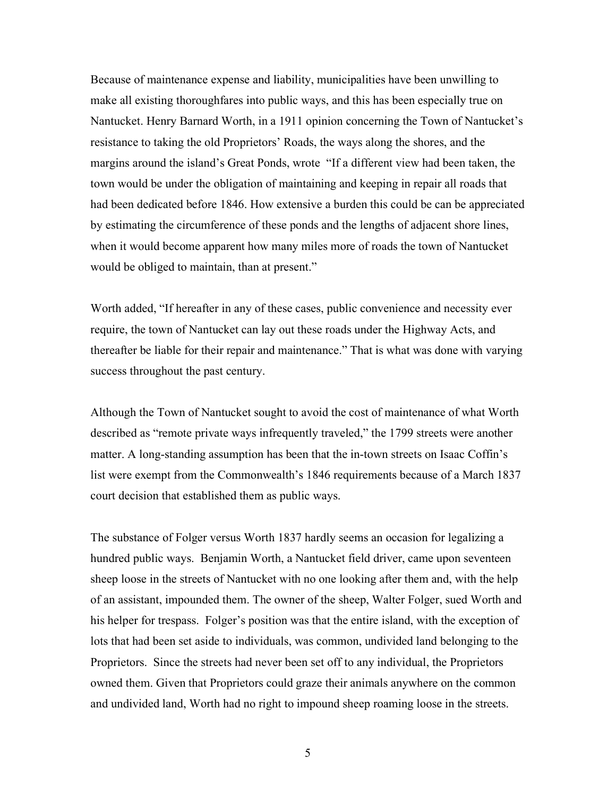Because of maintenance expense and liability, municipalities have been unwilling to make all existing thoroughfares into public ways, and this has been especially true on Nantucket. Henry Barnard Worth, in a 1911 opinion concerning the Town of Nantucket's resistance to taking the old Proprietors' Roads, the ways along the shores, and the margins around the island's Great Ponds, wrote "If a different view had been taken, the town would be under the obligation of maintaining and keeping in repair all roads that had been dedicated before 1846. How extensive a burden this could be can be appreciated by estimating the circumference of these ponds and the lengths of adjacent shore lines, when it would become apparent how many miles more of roads the town of Nantucket would be obliged to maintain, than at present."

Worth added, "If hereafter in any of these cases, public convenience and necessity ever require, the town of Nantucket can lay out these roads under the Highway Acts, and thereafter be liable for their repair and maintenance." That is what was done with varying success throughout the past century.

Although the Town of Nantucket sought to avoid the cost of maintenance of what Worth described as "remote private ways infrequently traveled," the 1799 streets were another matter. A long-standing assumption has been that the in-town streets on Isaac Coffin's list were exempt from the Commonwealth's 1846 requirements because of a March 1837 court decision that established them as public ways.

The substance of Folger versus Worth 1837 hardly seems an occasion for legalizing a hundred public ways. Benjamin Worth, a Nantucket field driver, came upon seventeen sheep loose in the streets of Nantucket with no one looking after them and, with the help of an assistant, impounded them. The owner of the sheep, Walter Folger, sued Worth and his helper for trespass. Folger's position was that the entire island, with the exception of lots that had been set aside to individuals, was common, undivided land belonging to the Proprietors. Since the streets had never been set off to any individual, the Proprietors owned them. Given that Proprietors could graze their animals anywhere on the common and undivided land, Worth had no right to impound sheep roaming loose in the streets.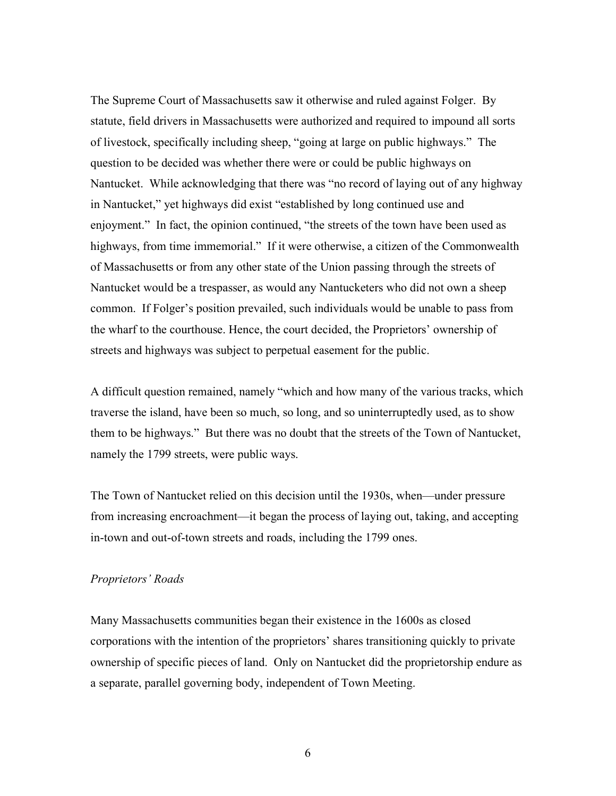The Supreme Court of Massachusetts saw it otherwise and ruled against Folger. By statute, field drivers in Massachusetts were authorized and required to impound all sorts of livestock, specifically including sheep, "going at large on public highways." The question to be decided was whether there were or could be public highways on Nantucket. While acknowledging that there was "no record of laying out of any highway in Nantucket," yet highways did exist "established by long continued use and enjoyment." In fact, the opinion continued, "the streets of the town have been used as highways, from time immemorial." If it were otherwise, a citizen of the Commonwealth of Massachusetts or from any other state of the Union passing through the streets of Nantucket would be a trespasser, as would any Nantucketers who did not own a sheep common. If Folger's position prevailed, such individuals would be unable to pass from the wharf to the courthouse. Hence, the court decided, the Proprietors' ownership of streets and highways was subject to perpetual easement for the public.

A difficult question remained, namely "which and how many of the various tracks, which traverse the island, have been so much, so long, and so uninterruptedly used, as to show them to be highways." But there was no doubt that the streets of the Town of Nantucket, namely the 1799 streets, were public ways.

The Town of Nantucket relied on this decision until the 1930s, when—under pressure from increasing encroachment—it began the process of laying out, taking, and accepting in-town and out-of-town streets and roads, including the 1799 ones.

### *Proprietors' Roads*

Many Massachusetts communities began their existence in the 1600s as closed corporations with the intention of the proprietors' shares transitioning quickly to private ownership of specific pieces of land. Only on Nantucket did the proprietorship endure as a separate, parallel governing body, independent of Town Meeting.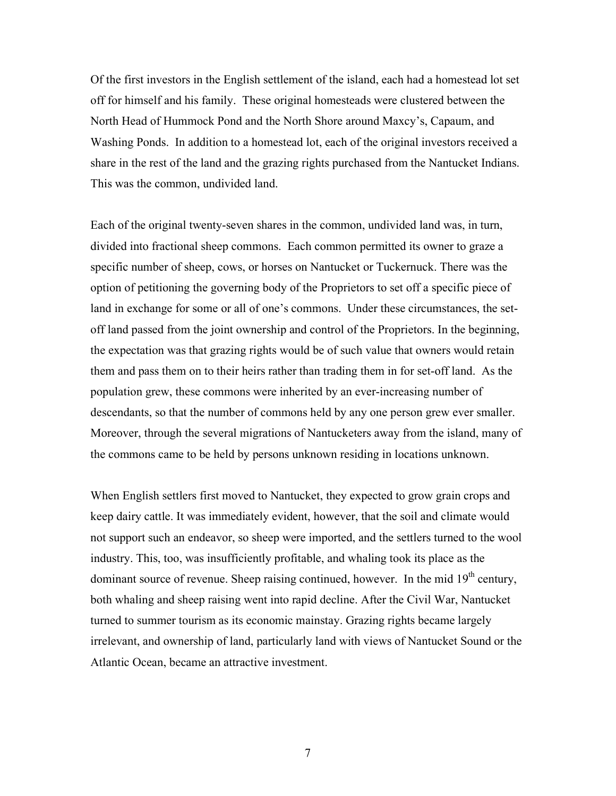Of the first investors in the English settlement of the island, each had a homestead lot set off for himself and his family. These original homesteads were clustered between the North Head of Hummock Pond and the North Shore around Maxcy's, Capaum, and Washing Ponds. In addition to a homestead lot, each of the original investors received a share in the rest of the land and the grazing rights purchased from the Nantucket Indians. This was the common, undivided land.

Each of the original twenty-seven shares in the common, undivided land was, in turn, divided into fractional sheep commons. Each common permitted its owner to graze a specific number of sheep, cows, or horses on Nantucket or Tuckernuck. There was the option of petitioning the governing body of the Proprietors to set off a specific piece of land in exchange for some or all of one's commons. Under these circumstances, the setoff land passed from the joint ownership and control of the Proprietors. In the beginning, the expectation was that grazing rights would be of such value that owners would retain them and pass them on to their heirs rather than trading them in for set-off land. As the population grew, these commons were inherited by an ever-increasing number of descendants, so that the number of commons held by any one person grew ever smaller. Moreover, through the several migrations of Nantucketers away from the island, many of the commons came to be held by persons unknown residing in locations unknown.

When English settlers first moved to Nantucket, they expected to grow grain crops and keep dairy cattle. It was immediately evident, however, that the soil and climate would not support such an endeavor, so sheep were imported, and the settlers turned to the wool industry. This, too, was insufficiently profitable, and whaling took its place as the dominant source of revenue. Sheep raising continued, however. In the mid  $19<sup>th</sup>$  century, both whaling and sheep raising went into rapid decline. After the Civil War, Nantucket turned to summer tourism as its economic mainstay. Grazing rights became largely irrelevant, and ownership of land, particularly land with views of Nantucket Sound or the Atlantic Ocean, became an attractive investment.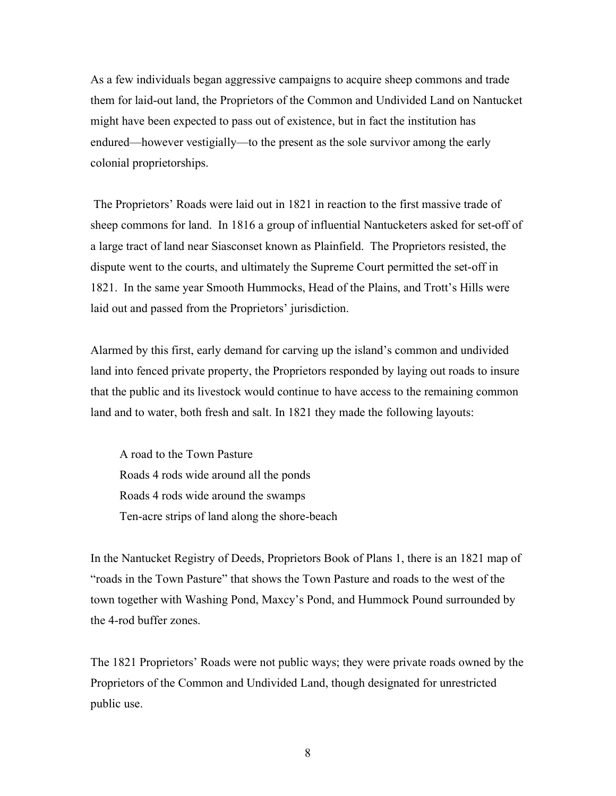As a few individuals began aggressive campaigns to acquire sheep commons and trade them for laid-out land, the Proprietors of the Common and Undivided Land on Nantucket might have been expected to pass out of existence, but in fact the institution has endured—however vestigially—to the present as the sole survivor among the early colonial proprietorships.

 The Proprietors' Roads were laid out in 1821 in reaction to the first massive trade of sheep commons for land. In 1816 a group of influential Nantucketers asked for set-off of a large tract of land near Siasconset known as Plainfield. The Proprietors resisted, the dispute went to the courts, and ultimately the Supreme Court permitted the set-off in 1821. In the same year Smooth Hummocks, Head of the Plains, and Trott's Hills were laid out and passed from the Proprietors' jurisdiction.

Alarmed by this first, early demand for carving up the island's common and undivided land into fenced private property, the Proprietors responded by laying out roads to insure that the public and its livestock would continue to have access to the remaining common land and to water, both fresh and salt. In 1821 they made the following layouts:

A road to the Town Pasture Roads 4 rods wide around all the ponds Roads 4 rods wide around the swamps Ten-acre strips of land along the shore-beach

In the Nantucket Registry of Deeds, Proprietors Book of Plans 1, there is an 1821 map of "roads in the Town Pasture" that shows the Town Pasture and roads to the west of the town together with Washing Pond, Maxcy's Pond, and Hummock Pound surrounded by the 4-rod buffer zones.

The 1821 Proprietors' Roads were not public ways; they were private roads owned by the Proprietors of the Common and Undivided Land, though designated for unrestricted public use.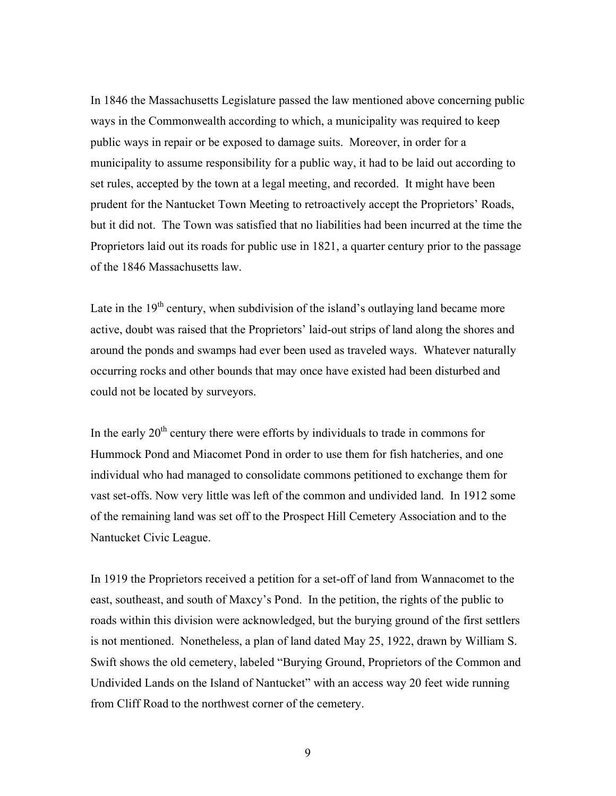In 1846 the Massachusetts Legislature passed the law mentioned above concerning public ways in the Commonwealth according to which, a municipality was required to keep public ways in repair or be exposed to damage suits. Moreover, in order for a municipality to assume responsibility for a public way, it had to be laid out according to set rules, accepted by the town at a legal meeting, and recorded. It might have been prudent for the Nantucket Town Meeting to retroactively accept the Proprietors' Roads, but it did not. The Town was satisfied that no liabilities had been incurred at the time the Proprietors laid out its roads for public use in 1821, a quarter century prior to the passage of the 1846 Massachusetts law.

Late in the  $19<sup>th</sup>$  century, when subdivision of the island's outlaying land became more active, doubt was raised that the Proprietors' laid-out strips of land along the shores and around the ponds and swamps had ever been used as traveled ways. Whatever naturally occurring rocks and other bounds that may once have existed had been disturbed and could not be located by surveyors.

In the early  $20<sup>th</sup>$  century there were efforts by individuals to trade in commons for Hummock Pond and Miacomet Pond in order to use them for fish hatcheries, and one individual who had managed to consolidate commons petitioned to exchange them for vast set-offs. Now very little was left of the common and undivided land. In 1912 some of the remaining land was set off to the Prospect Hill Cemetery Association and to the Nantucket Civic League.

In 1919 the Proprietors received a petition for a set-off of land from Wannacomet to the east, southeast, and south of Maxcy's Pond. In the petition, the rights of the public to roads within this division were acknowledged, but the burying ground of the first settlers is not mentioned. Nonetheless, a plan of land dated May 25, 1922, drawn by William S. Swift shows the old cemetery, labeled "Burying Ground, Proprietors of the Common and Undivided Lands on the Island of Nantucket" with an access way 20 feet wide running from Cliff Road to the northwest corner of the cemetery.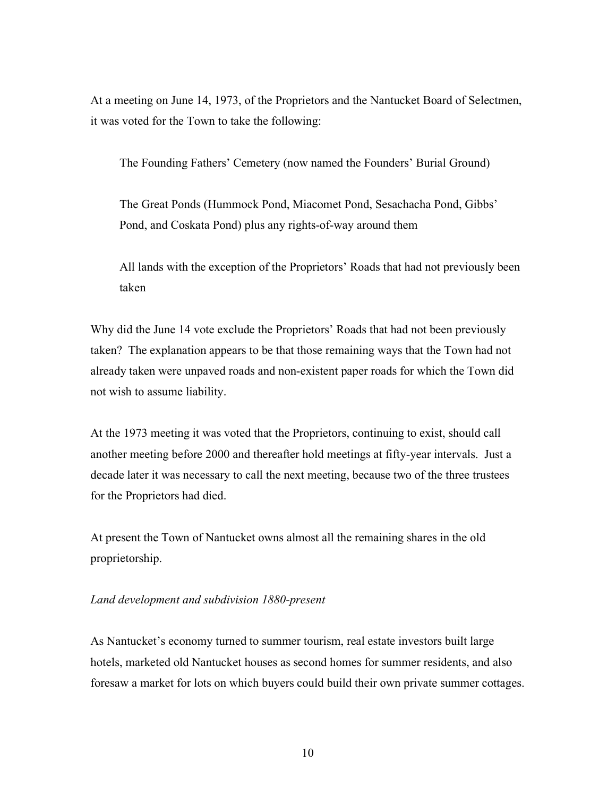At a meeting on June 14, 1973, of the Proprietors and the Nantucket Board of Selectmen, it was voted for the Town to take the following:

The Founding Fathers' Cemetery (now named the Founders' Burial Ground)

The Great Ponds (Hummock Pond, Miacomet Pond, Sesachacha Pond, Gibbs' Pond, and Coskata Pond) plus any rights-of-way around them

All lands with the exception of the Proprietors' Roads that had not previously been taken

Why did the June 14 vote exclude the Proprietors' Roads that had not been previously taken? The explanation appears to be that those remaining ways that the Town had not already taken were unpaved roads and non-existent paper roads for which the Town did not wish to assume liability.

At the 1973 meeting it was voted that the Proprietors, continuing to exist, should call another meeting before 2000 and thereafter hold meetings at fifty-year intervals. Just a decade later it was necessary to call the next meeting, because two of the three trustees for the Proprietors had died.

At present the Town of Nantucket owns almost all the remaining shares in the old proprietorship.

# *Land development and subdivision 1880-present*

As Nantucket's economy turned to summer tourism, real estate investors built large hotels, marketed old Nantucket houses as second homes for summer residents, and also foresaw a market for lots on which buyers could build their own private summer cottages.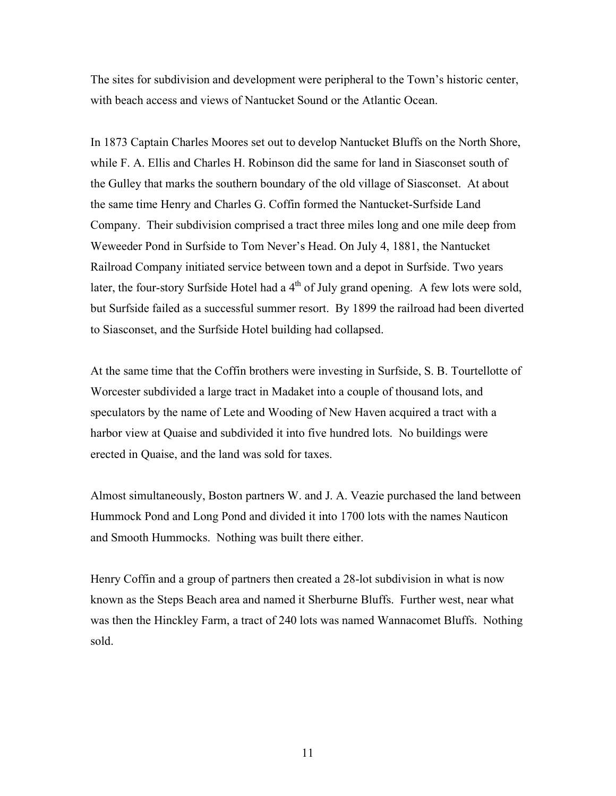The sites for subdivision and development were peripheral to the Town's historic center, with beach access and views of Nantucket Sound or the Atlantic Ocean.

In 1873 Captain Charles Moores set out to develop Nantucket Bluffs on the North Shore, while F. A. Ellis and Charles H. Robinson did the same for land in Siasconset south of the Gulley that marks the southern boundary of the old village of Siasconset. At about the same time Henry and Charles G. Coffin formed the Nantucket-Surfside Land Company. Their subdivision comprised a tract three miles long and one mile deep from Weweeder Pond in Surfside to Tom Never's Head. On July 4, 1881, the Nantucket Railroad Company initiated service between town and a depot in Surfside. Two years later, the four-story Surfside Hotel had a  $4<sup>th</sup>$  of July grand opening. A few lots were sold, but Surfside failed as a successful summer resort. By 1899 the railroad had been diverted to Siasconset, and the Surfside Hotel building had collapsed.

At the same time that the Coffin brothers were investing in Surfside, S. B. Tourtellotte of Worcester subdivided a large tract in Madaket into a couple of thousand lots, and speculators by the name of Lete and Wooding of New Haven acquired a tract with a harbor view at Quaise and subdivided it into five hundred lots. No buildings were erected in Quaise, and the land was sold for taxes.

Almost simultaneously, Boston partners W. and J. A. Veazie purchased the land between Hummock Pond and Long Pond and divided it into 1700 lots with the names Nauticon and Smooth Hummocks. Nothing was built there either.

Henry Coffin and a group of partners then created a 28-lot subdivision in what is now known as the Steps Beach area and named it Sherburne Bluffs. Further west, near what was then the Hinckley Farm, a tract of 240 lots was named Wannacomet Bluffs. Nothing sold.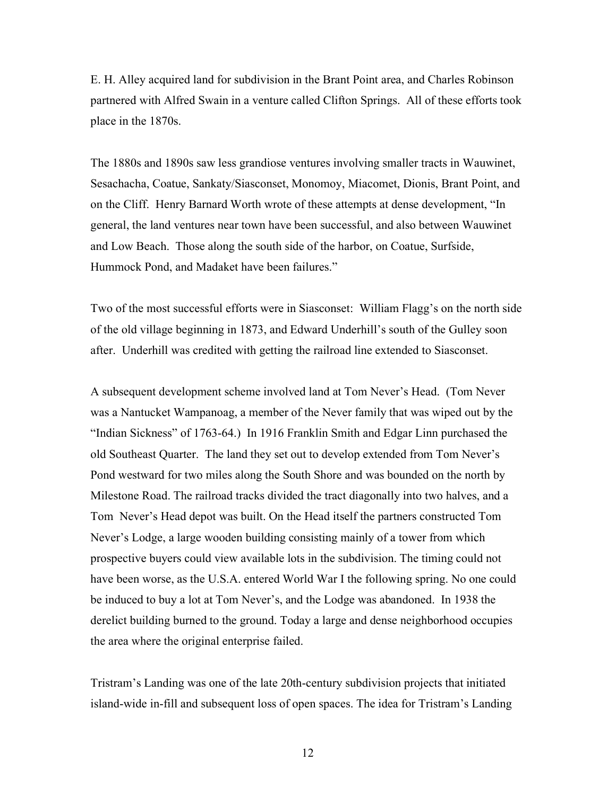E. H. Alley acquired land for subdivision in the Brant Point area, and Charles Robinson partnered with Alfred Swain in a venture called Clifton Springs. All of these efforts took place in the 1870s.

The 1880s and 1890s saw less grandiose ventures involving smaller tracts in Wauwinet, Sesachacha, Coatue, Sankaty/Siasconset, Monomoy, Miacomet, Dionis, Brant Point, and on the Cliff. Henry Barnard Worth wrote of these attempts at dense development, "In general, the land ventures near town have been successful, and also between Wauwinet and Low Beach. Those along the south side of the harbor, on Coatue, Surfside, Hummock Pond, and Madaket have been failures."

Two of the most successful efforts were in Siasconset: William Flagg's on the north side of the old village beginning in 1873, and Edward Underhill's south of the Gulley soon after. Underhill was credited with getting the railroad line extended to Siasconset.

A subsequent development scheme involved land at Tom Never's Head. (Tom Never was a Nantucket Wampanoag, a member of the Never family that was wiped out by the "Indian Sickness" of 1763-64.) In 1916 Franklin Smith and Edgar Linn purchased the old Southeast Quarter. The land they set out to develop extended from Tom Never's Pond westward for two miles along the South Shore and was bounded on the north by Milestone Road. The railroad tracks divided the tract diagonally into two halves, and a Tom Never's Head depot was built. On the Head itself the partners constructed Tom Never's Lodge, a large wooden building consisting mainly of a tower from which prospective buyers could view available lots in the subdivision. The timing could not have been worse, as the U.S.A. entered World War I the following spring. No one could be induced to buy a lot at Tom Never's, and the Lodge was abandoned. In 1938 the derelict building burned to the ground. Today a large and dense neighborhood occupies the area where the original enterprise failed.

Tristram's Landing was one of the late 20th-century subdivision projects that initiated island-wide in-fill and subsequent loss of open spaces. The idea for Tristram's Landing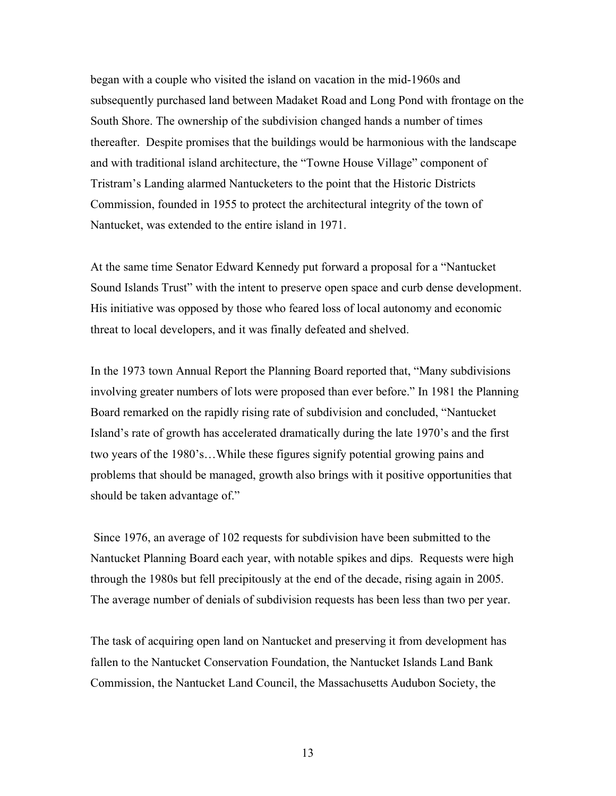began with a couple who visited the island on vacation in the mid-1960s and subsequently purchased land between Madaket Road and Long Pond with frontage on the South Shore. The ownership of the subdivision changed hands a number of times thereafter. Despite promises that the buildings would be harmonious with the landscape and with traditional island architecture, the "Towne House Village" component of Tristram's Landing alarmed Nantucketers to the point that the Historic Districts Commission, founded in 1955 to protect the architectural integrity of the town of Nantucket, was extended to the entire island in 1971.

At the same time Senator Edward Kennedy put forward a proposal for a "Nantucket Sound Islands Trust" with the intent to preserve open space and curb dense development. His initiative was opposed by those who feared loss of local autonomy and economic threat to local developers, and it was finally defeated and shelved.

In the 1973 town Annual Report the Planning Board reported that, "Many subdivisions involving greater numbers of lots were proposed than ever before." In 1981 the Planning Board remarked on the rapidly rising rate of subdivision and concluded, "Nantucket Island's rate of growth has accelerated dramatically during the late 1970's and the first two years of the 1980's…While these figures signify potential growing pains and problems that should be managed, growth also brings with it positive opportunities that should be taken advantage of."

 Since 1976, an average of 102 requests for subdivision have been submitted to the Nantucket Planning Board each year, with notable spikes and dips. Requests were high through the 1980s but fell precipitously at the end of the decade, rising again in 2005. The average number of denials of subdivision requests has been less than two per year.

The task of acquiring open land on Nantucket and preserving it from development has fallen to the Nantucket Conservation Foundation, the Nantucket Islands Land Bank Commission, the Nantucket Land Council, the Massachusetts Audubon Society, the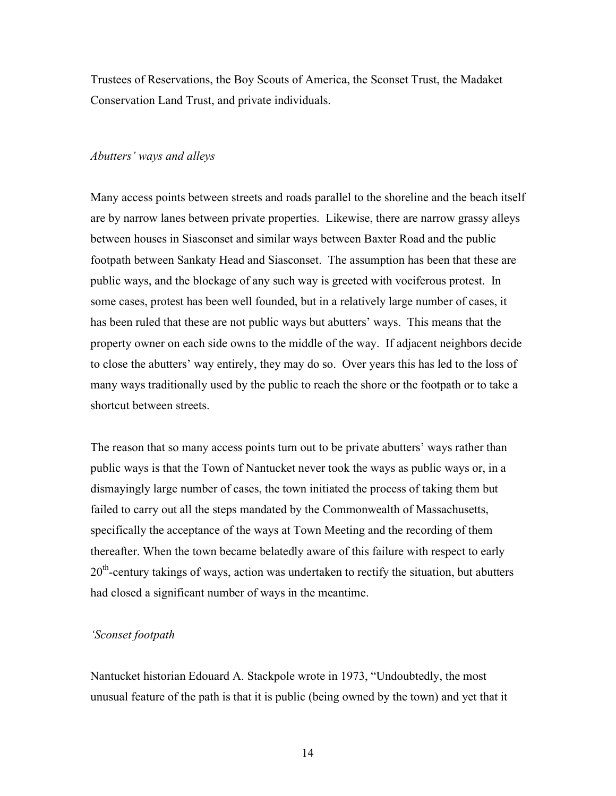Trustees of Reservations, the Boy Scouts of America, the Sconset Trust, the Madaket Conservation Land Trust, and private individuals.

### *Abutters' ways and alleys*

Many access points between streets and roads parallel to the shoreline and the beach itself are by narrow lanes between private properties. Likewise, there are narrow grassy alleys between houses in Siasconset and similar ways between Baxter Road and the public footpath between Sankaty Head and Siasconset. The assumption has been that these are public ways, and the blockage of any such way is greeted with vociferous protest. In some cases, protest has been well founded, but in a relatively large number of cases, it has been ruled that these are not public ways but abutters' ways. This means that the property owner on each side owns to the middle of the way. If adjacent neighbors decide to close the abutters' way entirely, they may do so. Over years this has led to the loss of many ways traditionally used by the public to reach the shore or the footpath or to take a shortcut between streets.

The reason that so many access points turn out to be private abutters' ways rather than public ways is that the Town of Nantucket never took the ways as public ways or, in a dismayingly large number of cases, the town initiated the process of taking them but failed to carry out all the steps mandated by the Commonwealth of Massachusetts, specifically the acceptance of the ways at Town Meeting and the recording of them thereafter. When the town became belatedly aware of this failure with respect to early 20<sup>th</sup>-century takings of ways, action was undertaken to rectify the situation, but abutters had closed a significant number of ways in the meantime.

# *'Sconset footpath*

Nantucket historian Edouard A. Stackpole wrote in 1973, "Undoubtedly, the most unusual feature of the path is that it is public (being owned by the town) and yet that it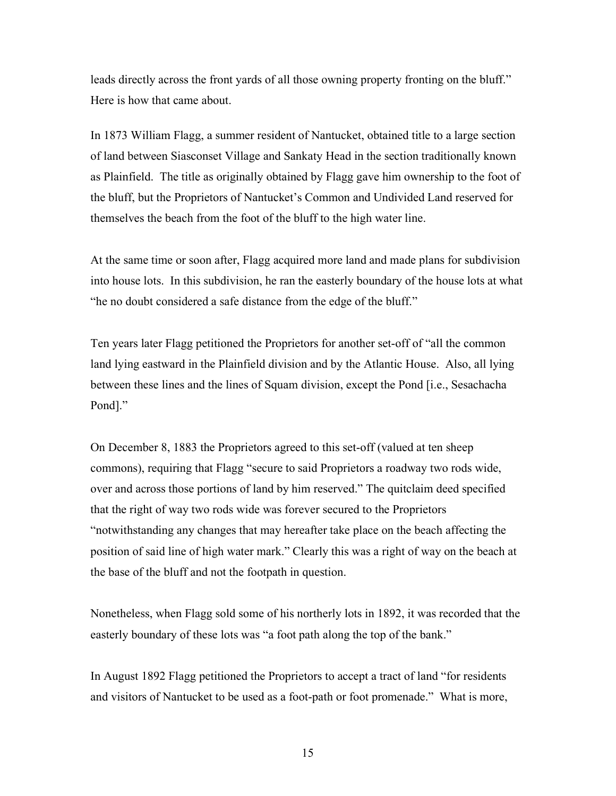leads directly across the front yards of all those owning property fronting on the bluff." Here is how that came about.

In 1873 William Flagg, a summer resident of Nantucket, obtained title to a large section of land between Siasconset Village and Sankaty Head in the section traditionally known as Plainfield. The title as originally obtained by Flagg gave him ownership to the foot of the bluff, but the Proprietors of Nantucket's Common and Undivided Land reserved for themselves the beach from the foot of the bluff to the high water line.

At the same time or soon after, Flagg acquired more land and made plans for subdivision into house lots. In this subdivision, he ran the easterly boundary of the house lots at what "he no doubt considered a safe distance from the edge of the bluff."

Ten years later Flagg petitioned the Proprietors for another set-off of "all the common land lying eastward in the Plainfield division and by the Atlantic House. Also, all lying between these lines and the lines of Squam division, except the Pond [i.e., Sesachacha Pond]."

On December 8, 1883 the Proprietors agreed to this set-off (valued at ten sheep commons), requiring that Flagg "secure to said Proprietors a roadway two rods wide, over and across those portions of land by him reserved." The quitclaim deed specified that the right of way two rods wide was forever secured to the Proprietors "notwithstanding any changes that may hereafter take place on the beach affecting the position of said line of high water mark." Clearly this was a right of way on the beach at the base of the bluff and not the footpath in question.

Nonetheless, when Flagg sold some of his northerly lots in 1892, it was recorded that the easterly boundary of these lots was "a foot path along the top of the bank."

In August 1892 Flagg petitioned the Proprietors to accept a tract of land "for residents and visitors of Nantucket to be used as a foot-path or foot promenade." What is more,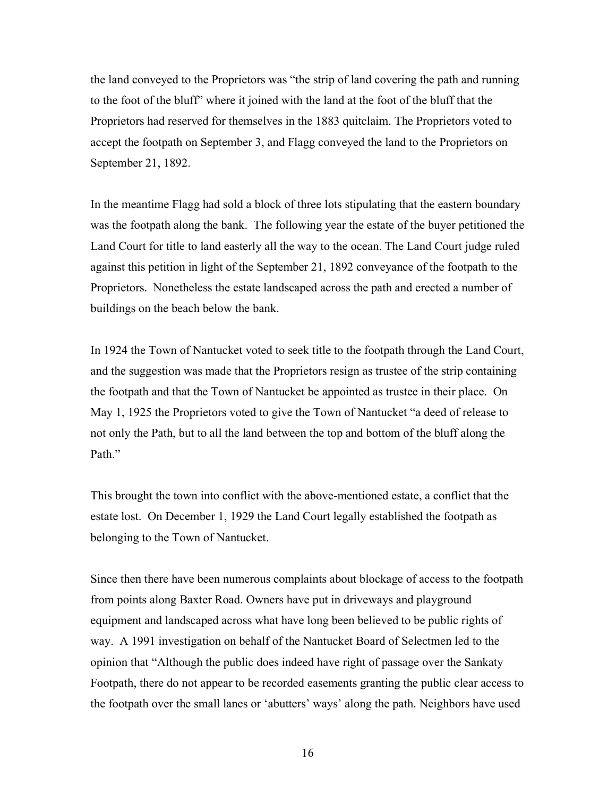the land conveyed to the Proprietors was "the strip of land covering the path and running to the foot of the bluff" where it joined with the land at the foot of the bluff that the Proprietors had reserved for themselves in the 1883 quitclaim. The Proprietors voted to accept the footpath on September 3, and Flagg conveyed the land to the Proprietors on September 21, 1892.

In the meantime Flagg had sold a block of three lots stipulating that the eastern boundary was the footpath along the bank. The following year the estate of the buyer petitioned the Land Court for title to land easterly all the way to the ocean. The Land Court judge ruled against this petition in light of the September 21, 1892 conveyance of the footpath to the Proprietors. Nonetheless the estate landscaped across the path and erected a number of buildings on the beach below the bank.

In 1924 the Town of Nantucket voted to seek title to the footpath through the Land Court, and the suggestion was made that the Proprietors resign as trustee of the strip containing the footpath and that the Town of Nantucket be appointed as trustee in their place. On May 1, 1925 the Proprietors voted to give the Town of Nantucket "a deed of release to not only the Path, but to all the land between the top and bottom of the bluff along the Path."

This brought the town into conflict with the above-mentioned estate, a conflict that the estate lost. On December 1, 1929 the Land Court legally established the footpath as belonging to the Town of Nantucket.

Since then there have been numerous complaints about blockage of access to the footpath from points along Baxter Road. Owners have put in driveways and playground equipment and landscaped across what have long been believed to be public rights of way. A 1991 investigation on behalf of the Nantucket Board of Selectmen led to the opinion that "Although the public does indeed have right of passage over the Sankaty Footpath, there do not appear to be recorded easements granting the public clear access to the footpath over the small lanes or 'abutters' ways' along the path. Neighbors have used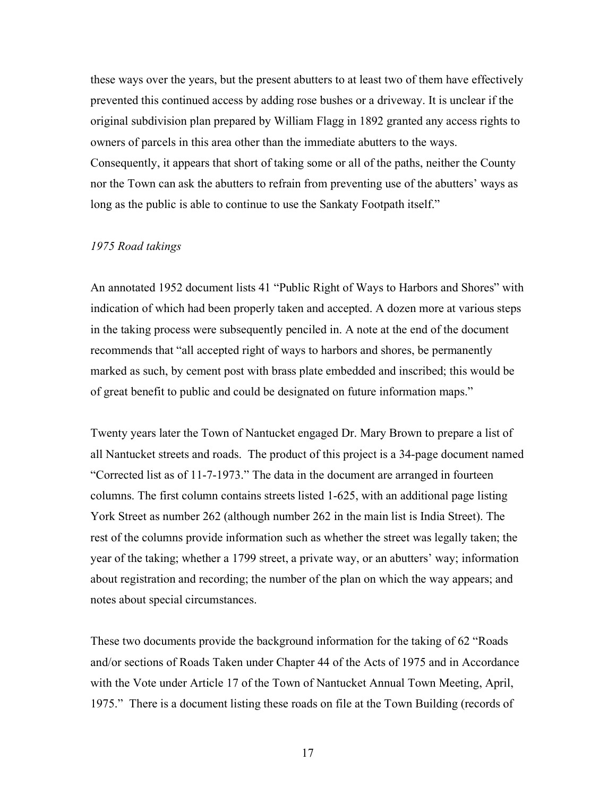these ways over the years, but the present abutters to at least two of them have effectively prevented this continued access by adding rose bushes or a driveway. It is unclear if the original subdivision plan prepared by William Flagg in 1892 granted any access rights to owners of parcels in this area other than the immediate abutters to the ways. Consequently, it appears that short of taking some or all of the paths, neither the County nor the Town can ask the abutters to refrain from preventing use of the abutters' ways as long as the public is able to continue to use the Sankaty Footpath itself."

# *1975 Road takings*

An annotated 1952 document lists 41 "Public Right of Ways to Harbors and Shores" with indication of which had been properly taken and accepted. A dozen more at various steps in the taking process were subsequently penciled in. A note at the end of the document recommends that "all accepted right of ways to harbors and shores, be permanently marked as such, by cement post with brass plate embedded and inscribed; this would be of great benefit to public and could be designated on future information maps."

Twenty years later the Town of Nantucket engaged Dr. Mary Brown to prepare a list of all Nantucket streets and roads. The product of this project is a 34-page document named "Corrected list as of 11-7-1973." The data in the document are arranged in fourteen columns. The first column contains streets listed 1-625, with an additional page listing York Street as number 262 (although number 262 in the main list is India Street). The rest of the columns provide information such as whether the street was legally taken; the year of the taking; whether a 1799 street, a private way, or an abutters' way; information about registration and recording; the number of the plan on which the way appears; and notes about special circumstances.

These two documents provide the background information for the taking of 62 "Roads and/or sections of Roads Taken under Chapter 44 of the Acts of 1975 and in Accordance with the Vote under Article 17 of the Town of Nantucket Annual Town Meeting, April, 1975." There is a document listing these roads on file at the Town Building (records of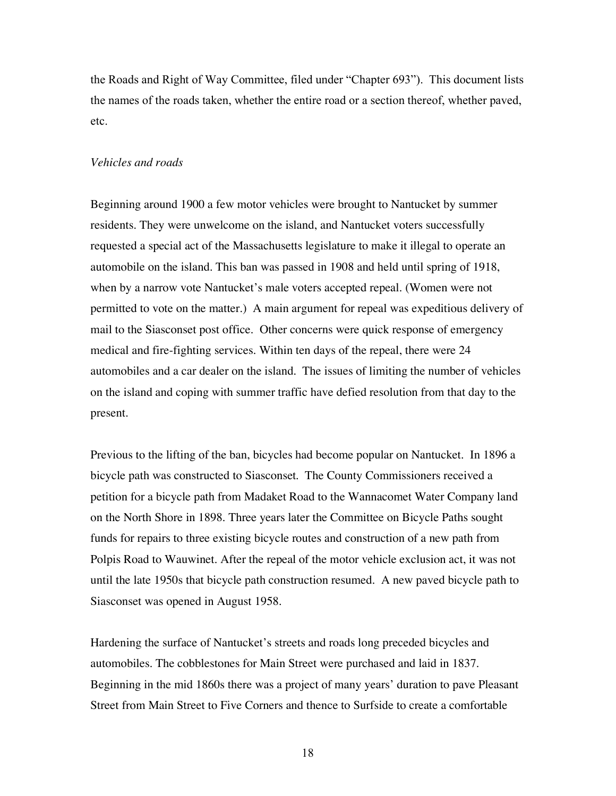the Roads and Right of Way Committee, filed under "Chapter 693"). This document lists the names of the roads taken, whether the entire road or a section thereof, whether paved, etc.

#### *Vehicles and roads*

Beginning around 1900 a few motor vehicles were brought to Nantucket by summer residents. They were unwelcome on the island, and Nantucket voters successfully requested a special act of the Massachusetts legislature to make it illegal to operate an automobile on the island. This ban was passed in 1908 and held until spring of 1918, when by a narrow vote Nantucket's male voters accepted repeal. (Women were not permitted to vote on the matter.) A main argument for repeal was expeditious delivery of mail to the Siasconset post office. Other concerns were quick response of emergency medical and fire-fighting services. Within ten days of the repeal, there were 24 automobiles and a car dealer on the island. The issues of limiting the number of vehicles on the island and coping with summer traffic have defied resolution from that day to the present.

Previous to the lifting of the ban, bicycles had become popular on Nantucket. In 1896 a bicycle path was constructed to Siasconset. The County Commissioners received a petition for a bicycle path from Madaket Road to the Wannacomet Water Company land on the North Shore in 1898. Three years later the Committee on Bicycle Paths sought funds for repairs to three existing bicycle routes and construction of a new path from Polpis Road to Wauwinet. After the repeal of the motor vehicle exclusion act, it was not until the late 1950s that bicycle path construction resumed. A new paved bicycle path to Siasconset was opened in August 1958.

Hardening the surface of Nantucket's streets and roads long preceded bicycles and automobiles. The cobblestones for Main Street were purchased and laid in 1837. Beginning in the mid 1860s there was a project of many years' duration to pave Pleasant Street from Main Street to Five Corners and thence to Surfside to create a comfortable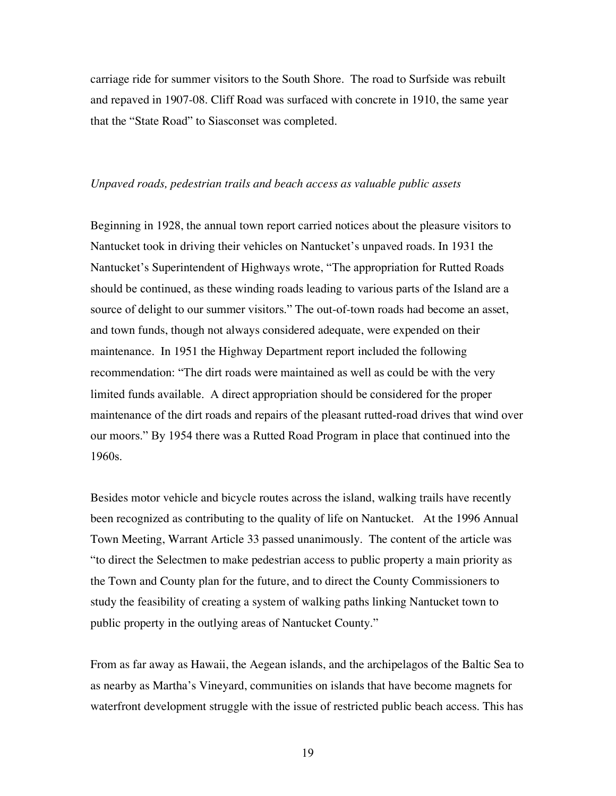carriage ride for summer visitors to the South Shore. The road to Surfside was rebuilt and repaved in 1907-08. Cliff Road was surfaced with concrete in 1910, the same year that the "State Road" to Siasconset was completed.

# *Unpaved roads, pedestrian trails and beach access as valuable public assets*

Beginning in 1928, the annual town report carried notices about the pleasure visitors to Nantucket took in driving their vehicles on Nantucket's unpaved roads. In 1931 the Nantucket's Superintendent of Highways wrote, "The appropriation for Rutted Roads should be continued, as these winding roads leading to various parts of the Island are a source of delight to our summer visitors." The out-of-town roads had become an asset, and town funds, though not always considered adequate, were expended on their maintenance. In 1951 the Highway Department report included the following recommendation: "The dirt roads were maintained as well as could be with the very limited funds available. A direct appropriation should be considered for the proper maintenance of the dirt roads and repairs of the pleasant rutted-road drives that wind over our moors." By 1954 there was a Rutted Road Program in place that continued into the 1960s.

Besides motor vehicle and bicycle routes across the island, walking trails have recently been recognized as contributing to the quality of life on Nantucket. At the 1996 Annual Town Meeting, Warrant Article 33 passed unanimously. The content of the article was "to direct the Selectmen to make pedestrian access to public property a main priority as the Town and County plan for the future, and to direct the County Commissioners to study the feasibility of creating a system of walking paths linking Nantucket town to public property in the outlying areas of Nantucket County."

From as far away as Hawaii, the Aegean islands, and the archipelagos of the Baltic Sea to as nearby as Martha's Vineyard, communities on islands that have become magnets for waterfront development struggle with the issue of restricted public beach access. This has